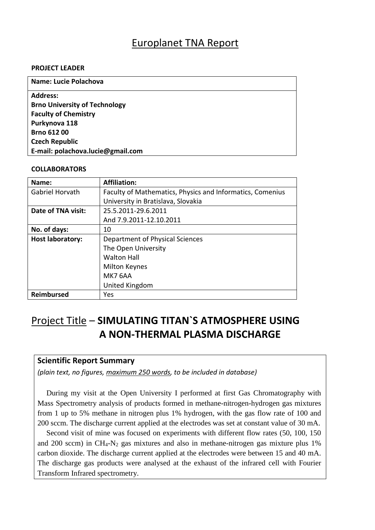# Europlanet TNA Report

#### **PROJECT LEADER**

| <b>Name: Lucie Polachova</b>         |
|--------------------------------------|
| <b>Address:</b>                      |
| <b>Brno University of Technology</b> |
| <b>Faculty of Chemistry</b>          |
| Purkynova 118                        |
| <b>Brno 612 00</b>                   |
| <b>Czech Republic</b>                |
| E-mail: polachova.lucie@gmail.com    |
|                                      |

#### **COLLABORATORS**

| Name:                   | <b>Affiliation:</b>                                       |
|-------------------------|-----------------------------------------------------------|
| Gabriel Horvath         | Faculty of Mathematics, Physics and Informatics, Comenius |
|                         | University in Bratislava, Slovakia                        |
| Date of TNA visit:      | 25.5.2011-29.6.2011                                       |
|                         | And 7.9.2011-12.10.2011                                   |
| No. of days:            | 10                                                        |
| <b>Host laboratory:</b> | Department of Physical Sciences                           |
|                         | The Open University                                       |
|                         | <b>Walton Hall</b>                                        |
|                         | <b>Milton Keynes</b>                                      |
|                         | MK7 6AA                                                   |
|                         | United Kingdom                                            |
| <b>Reimbursed</b>       | Yes                                                       |

# Project Title – **SIMULATING TITAN`S ATMOSPHERE USING A NON-THERMAL PLASMA DISCHARGE**

### **Scientific Report Summary**

*(plain text, no figures, maximum 250 words, to be included in database)*

During my visit at the Open University I performed at first Gas Chromatography with Mass Spectrometry analysis of products formed in methane-nitrogen-hydrogen gas mixtures from 1 up to 5% methane in nitrogen plus 1% hydrogen, with the gas flow rate of 100 and 200 sccm. The discharge current applied at the electrodes was set at constant value of 30 mA.

Second visit of mine was focused on experiments with different flow rates (50, 100, 150 and 200 sccm) in  $CH_4$ -N<sub>2</sub> gas mixtures and also in methane-nitrogen gas mixture plus 1% carbon dioxide. The discharge current applied at the electrodes were between 15 and 40 mA. The discharge gas products were analysed at the exhaust of the infrared cell with Fourier Transform Infrared spectrometry.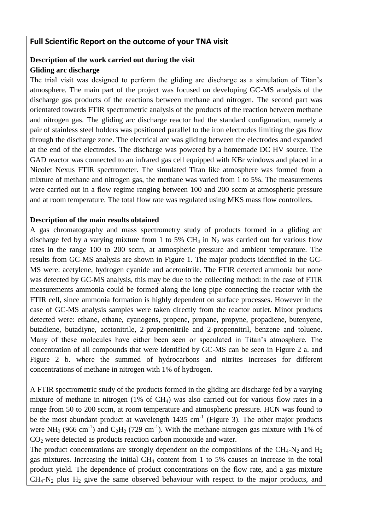### **Full Scientific Report on the outcome of your TNA visit**

### **Description of the work carried out during the visit Gliding arc discharge**

The trial visit was designed to perform the gliding arc discharge as a simulation of Titan's atmosphere. The main part of the project was focused on developing GC-MS analysis of the discharge gas products of the reactions between methane and nitrogen. The second part was orientated towards FTIR spectrometric analysis of the products of the reaction between methane and nitrogen gas. The gliding arc discharge reactor had the standard configuration, namely a pair of stainless steel holders was positioned parallel to the iron electrodes limiting the gas flow through the discharge zone. The electrical arc was gliding between the electrodes and expanded at the end of the electrodes. The discharge was powered by a homemade DC HV source. The GAD reactor was connected to an infrared gas cell equipped with KBr windows and placed in a Nicolet Nexus FTIR spectrometer. The simulated Titan like atmosphere was formed from a mixture of methane and nitrogen gas, the methane was varied from 1 to 5%. The measurements were carried out in a flow regime ranging between 100 and 200 sccm at atmospheric pressure and at room temperature. The total flow rate was regulated using MKS mass flow controllers.

#### **Description of the main results obtained**

A gas chromatography and mass spectrometry study of products formed in a gliding arc discharge fed by a varying mixture from 1 to 5% CH<sub>4</sub> in  $N_2$  was carried out for various flow rates in the range 100 to 200 sccm, at atmospheric pressure and ambient temperature. The results from GC-MS analysis are shown in Figure 1. The major products identified in the GC-MS were: acetylene, hydrogen cyanide and acetonitrile. The FTIR detected ammonia but none was detected by GC-MS analysis, this may be due to the collecting method: in the case of FTIR measurements ammonia could be formed along the long pipe connecting the reactor with the FTIR cell, since ammonia formation is highly dependent on surface processes. However in the case of GC-MS analysis samples were taken directly from the reactor outlet. Minor products detected were: ethane, ethane, cyanogens, propene, propane, propyne, propadiene, butenyene, butadiene, butadiyne, acetonitrile, 2-propenenitrile and 2-propennitril, benzene and toluene. Many of these molecules have either been seen or speculated in Titan's atmosphere. The concentration of all compounds that were identified by GC-MS can be seen in Figure 2 a. and Figure 2 b. where the summed of hydrocarbons and nitrites increases for different concentrations of methane in nitrogen with 1% of hydrogen.

A FTIR spectrometric study of the products formed in the gliding arc discharge fed by a varying mixture of methane in nitrogen (1% of CH4) was also carried out for various flow rates in a range from 50 to 200 sccm, at room temperature and atmospheric pressure. HCN was found to be the most abundant product at wavelength  $1435 \text{ cm}^{-1}$  (Figure 3). The other major products were NH<sub>3</sub> (966 cm<sup>-1</sup>) and C<sub>2</sub>H<sub>2</sub> (729 cm<sup>-1</sup>). With the methane-nitrogen gas mixture with 1% of  $CO<sub>2</sub>$  were detected as products reaction carbon monoxide and water.

The product concentrations are strongly dependent on the compositions of the  $CH_4$ -N<sub>2</sub> and H<sub>2</sub> gas mixtures. Increasing the initial  $CH_4$  content from 1 to 5% causes an increase in the total product yield. The dependence of product concentrations on the flow rate, and a gas mixture  $CH_4$ -N<sub>2</sub> plus H<sub>2</sub> give the same observed behaviour with respect to the major products, and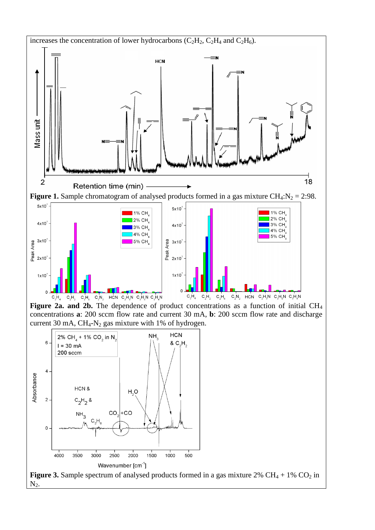